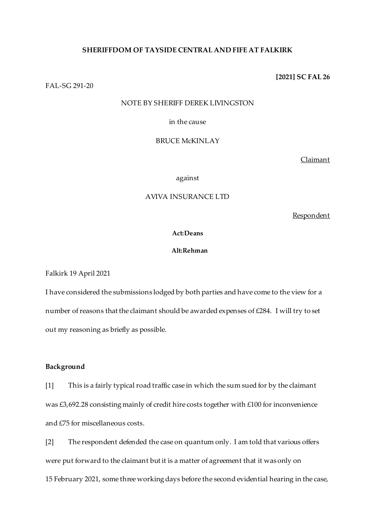## **SHERIFFDOM OF TAYSIDE CENTRAL AND FIFE AT FALKIRK**

FAL-SG 291-20

#### NOTE BY SHERIFF DEREK LIVINGSTON

#### in the cause

## BRUCE McKINLAY

Claimant

against

## AVIVA INSURANCE LTD

Respondent

## **Act:Deans**

#### **Alt:Rehman**

Falkirk 19 April 2021

I have considered the submissions lodged by both parties and have come to the view for a number of reasons that the claimant should be awarded expenses of £284. I will try to set out my reasoning as briefly as possible.

## **Background**

[1] This is a fairly typical road traffic case in which the sum sued for by the claimant was £3,692.28 consisting mainly of credit hire costs together with £100 for inconvenience and £75 for miscellaneous costs.

[2] The respondent defended the case on quantum only. I am told that various offers were put forward to the claimant but it is a matter of agreement that it was only on 15 February 2021, some three working days before the second evidential hearing in the case,

# **[2021] SC FAL 26**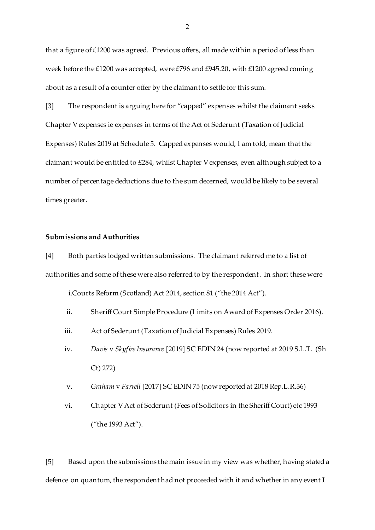that a figure of £1200 was agreed. Previous offers, all made within a period of less than week before the £1200 was accepted, were £796 and £945.20, with £1200 agreed coming about as a result of a counter offer by the claimant to settle for this sum.

[3] The respondent is arguing here for "capped" expenses whilst the claimant seeks Chapter V expenses ie expenses in terms of the Act of Sederunt (Taxation of Judicial Expenses) Rules 2019 at Schedule 5. Capped expenses would, I am told, mean that the claimant would be entitled to £284, whilst Chapter V expenses, even although subject to a number of percentage deductions due to the sum decerned, would be likely to be several times greater.

## **Submissions and Authorities**

[4] Both parties lodged written submissions. The claimant referred me to a list of authorities and some of these were also referred to by the respondent. In short these were

i.Courts Reform (Scotland) Act 2014, section 81 ("the 2014 Act").

- ii. Sheriff Court Simple Procedure (Limits on Award of Expenses Order 2016).
- iii. Act of Sederunt (Taxation of Judicial Expenses) Rules 2019.
- iv. *Davis* v *Skyfire Insurance* [2019] SC EDIN 24 (now reported at 2019 S.L.T. (Sh Ct) 272)
- v. *Graham* v *Farrell* [2017] SC EDIN 75 (now reported at 2018 Rep.L.R.36)
- vi. Chapter V Act of Sederunt (Fees of Solicitors in the Sheriff Court) etc 1993 ("the 1993 Act").

[5] Based upon the submissions the main issue in my view was whether, having stated a defence on quantum, the respondent had not proceeded with it and whether in any event I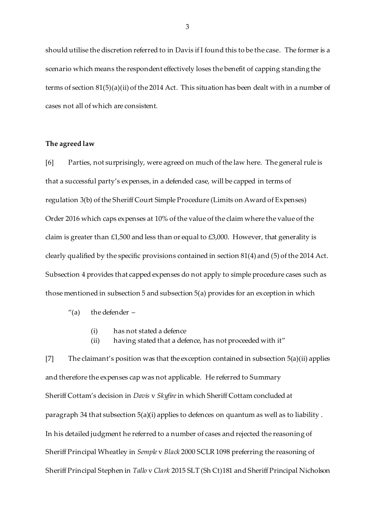should utilise the discretion referred to in Davis if I found this to be the case. The former is a scenario which means the respondent effectively loses the benefit of capping standing the terms of section 81(5)(a)(ii) of the 2014 Act. This situation has been dealt with in a number of cases not all of which are consistent.

## **The agreed law**

[6] Parties, not surprisingly, were agreed on much of the law here. The general rule is that a successful party's expenses, in a defended case, will be capped in terms of regulation 3(b) of the Sheriff Court Simple Procedure (Limits on Award of Expenses) Order 2016 which caps expenses at 10% of the value of the claim where the value of the claim is greater than £1,500 and less than or equal to £3,000. However, that generality is clearly qualified by the specific provisions contained in section 81(4) and (5) of the 2014 Act. Subsection 4 provides that capped expenses do not apply to simple procedure cases such as those mentioned in subsection 5 and subsection 5(a) provides for an exception in which

- $''(a)$  the defender  $-$ 
	- (i) has not stated a defence
	- (ii) having stated that a defence, has not proceeded with it"

[7] The claimant's position was that the exception contained in subsection 5(a)(ii) applies and therefore the expenses cap was not applicable. He referred to Summary Sheriff Cottam's decision in *Davis* v *Skyfire*in which Sheriff Cottam concluded at paragraph 34 that subsection 5(a)(i) applies to defences on quantum as well as to liability . In his detailed judgment he referred to a number of cases and rejected the reasoning of Sheriff Principal Wheatley in *Semple* v *Black* 2000 SCLR 1098 preferring the reasoning of Sheriff Principal Stephen in *Tallo* v *Clark* 2015 SLT (Sh Ct)181 and Sheriff Principal Nicholson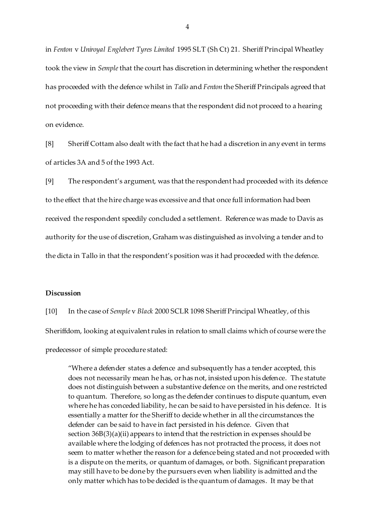in *Fenton* v *Uniroyal Englebert Tyres Limited* 1995 SLT (Sh Ct) 21. Sheriff Principal Wheatley took the view in *Semple*that the court has discretion in determining whether the respondent has proceeded with the defence whilst in *Tallo* and *Fenton* the Sheriff Principals agreed that not proceeding with their defence means that the respondent did not proceed to a hearing on evidence.

[8] Sheriff Cottam also dealt with the fact that he had a discretion in any event in terms of articles 3A and 5 of the 1993 Act.

[9] The respondent's argument, was that the respondent had proceeded with its defence to the effect that the hire charge was excessive and that once full information had been received the respondent speedily concluded a settlement. Reference was made to Davis as authority for the use of discretion, Graham was distinguished as involving a tender and to the dicta in Tallo in that the respondent's position was it had proceeded with the defence.

#### **Discussion**

[10] In the case of *Semple* v *Black* 2000 SCLR 1098 Sheriff Principal Wheatley, of this Sheriffdom, looking at equivalent rules in relation to small claims which of course were the predecessor of simple procedure stated:

"Where a defender states a defence and subsequently has a tender accepted, this does not necessarily mean he has, or has not, insisted upon his defence. The statute does not distinguish between a substantive defence on the merits, and one restricted to quantum. Therefore, so long as the defender continues to dispute quantum, even where he has conceded liability, he can be said to have persisted in his defence. It is essentially a matter for the Sheriff to decide whether in all the circumstances the defender can be said to have in fact persisted in his defence. Given that section 36B(3)(a)(ii) appears to intend that the restriction in expenses should be available where the lodging of defences has not protracted the process, it does not seem to matter whether the reason for a defence being stated and not proceeded with is a dispute on the merits, or quantum of damages, or both. Significant preparation may still have to be done by the pursuers even when liability is admitted and the only matter which has to be decided is the quantum of damages. It may be that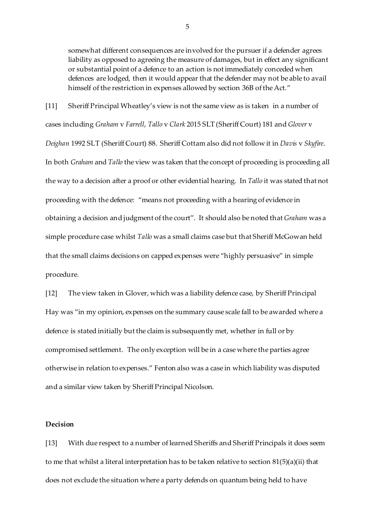somewhat different consequences are involved for the pursuer if a defender agrees liability as opposed to agreeing the measure of damages, but in effect any significant or substantial point of a defence to an action is not immediately conceded when defences are lodged, then it would appear that the defender may not be able to avail himself of the restriction in expenses allowed by section 36B of the Act."

[11] Sheriff Principal Wheatley's view is not the same view as is taken in a number of cases including *Graham* v *Farrell*, *Tallo* v *Clark* 2015 SLT (Sheriff Court) 181 and *Glover* v *Deighan* 1992 SLT (Sheriff Court) 88. Sheriff Cottam also did not follow it in *Davis* v *Skyfire*. In both *Graham* and *Tallo* the view was taken that the concept of proceeding is proceeding all the way to a decision after a proof or other evidential hearing. In *Tallo* it was stated that not proceeding with the defence: "means not proceeding with a hearing of evidence in obtaining a decision and judgment of the court". It should also be noted that *Graham* was a simple procedure case whilst *Tallo* was a small claims case but that Sheriff McGowan held that the small claims decisions on capped expenses were "highly persuasive" in simple procedure.

[12] The view taken in Glover, which was a liability defence case, by Sheriff Principal Hay was "in my opinion, expenses on the summary cause scale fall to be awarded where a defence is stated initially but the claim is subsequently met, whether in full or by compromised settlement. The only exception will be in a case where the parties agree otherwise in relation to expenses." Fenton also was a case in which liability was disputed and a similar view taken by Sheriff Principal Nicolson.

## **Decision**

[13] With due respect to a number of learned Sheriffs and Sheriff Principals it does seem to me that whilst a literal interpretation has to be taken relative to section 81(5)(a)(ii) that does not exclude the situation where a party defends on quantum being held to have

5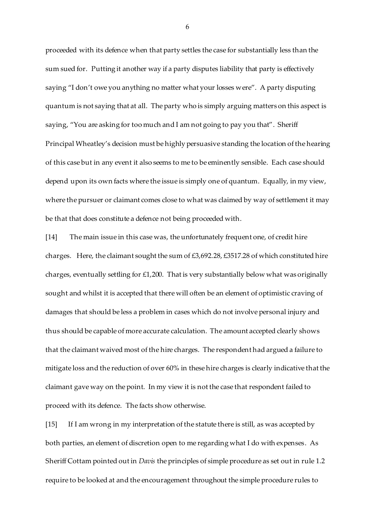proceeded with its defence when that party settles the case for substantially less than the sum sued for. Putting it another way if a party disputes liability that party is effectively saying "I don't owe you anything no matter what your losses were". A party disputing quantum is not saying that at all. The party who is simply arguing matters on this aspect is saying, "You are asking for too much and I am not going to pay you that". Sheriff Principal Wheatley's decision must be highly persuasive standing the location of the hearing of this case but in any event it also seems to me to be eminently sensible. Each case should depend upon its own facts where the issue is simply one of quantum. Equally, in my view, where the pursuer or claimant comes close to what was claimed by way of settlement it may be that that does constitute a defence not being proceeded with.

[14] The main issue in this case was, the unfortunately frequent one, of credit hire charges. Here, the claimant sought the sum of £3,692.28, £3517.28 of which constituted hire charges, eventually settling for £1,200. That is very substantially below what was originally sought and whilst it is accepted that there will often be an element of optimistic craving of damages that should be less a problem in cases which do not involve personal injury and thus should be capable of more accurate calculation. The amount accepted clearly shows that the claimant waived most of the hire charges. The respondent had argued a failure to mitigate loss and the reduction of over 60% in these hire charges is clearly indicative that the claimant gave way on the point. In my view it is not the case that respondent failed to proceed with its defence. The facts show otherwise.

[15] If I am wrong in my interpretation of the statute there is still, as was accepted by both parties, an element of discretion open to me regarding what I do with expenses. As Sheriff Cottam pointed out in *Davis* the principles of simple procedure as set out in rule 1.2 require to be looked at and the encouragement throughout the simple procedure rules to

6